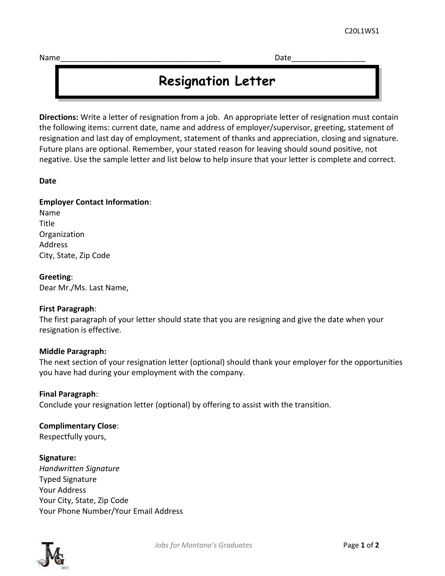Name\_\_\_\_\_\_\_\_\_\_\_\_\_\_\_\_\_\_\_\_\_\_\_\_\_\_\_\_\_\_\_\_\_\_\_\_\_ Date\_\_\_\_\_\_\_\_\_\_\_\_\_\_\_\_\_

# **Resignation Letter**

**Directions:** Write a letter of resignation from a job. An appropriate letter of resignation must contain the following items: current date, name and address of employer/supervisor, greeting, statement of resignation and last day of employment, statement of thanks and appreciation, closing and signature. Future plans are optional. Remember, your stated reason for leaving should sound positive, not negative. Use the sample letter and list below to help insure that your letter is complete and correct.

#### **Date**

#### **Employer Contact Information**:

Name **Title Organization** Address City, State, Zip Code

**Greeting**: Dear Mr./Ms. Last Name,

#### **First Paragraph**:

The first paragraph of your letter should state that you are resigning and give the date when your resignation is effective.

#### **Middle Paragraph:**

The next section of your resignation letter (optional) should thank your employer for the opportunities you have had during your employment with the company.

#### **Final Paragraph**:

Conclude your resignation letter (optional) by offering to assist with the transition.

### **Complimentary Close**:

Respectfully yours,

#### **Signature:**

*Handwritten Signature* Typed Signature Your Address Your City, State, Zip Code Your Phone Number/Your Email Address